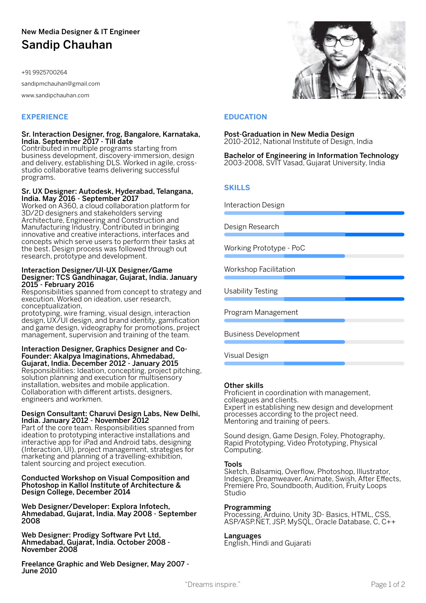#### Sr. Interaction Designer, frog, Bangalore, Karnataka, India. September 2017 - Till date

Contributed in multiple programs starting from business development, discovery-immersion, design and delivery, establishing DLS. Worked in agile, crossstudio collaborative teams delivering successful programs.

#### Sr. UX Designer: Autodesk, Hyderabad, Telangana, India. May 2016 - September 2017

Worked on A360, a cloud collaboration platform for 3D/2D designers and stakeholders serving Architecture, Engineering and Construction and Manufacturing Industry. Contributed in bringing innovative and creative interactions, interfaces and concepts which serve users to perform their tasks at the best. Design process was followed through out research, prototype and development.

#### Interaction Designer/UI-UX Designer/Game Designer: TCS Gandhinagar, Gujarat, India. January 2015 - February 2016

Responsibilities spanned from concept to strategy and execution. Worked on ideation, user research, conceptualization,

prototyping, wire framing, visual design, interaction design, UX/UI design, and brand identity, gamification and game design, videography for promotions, project management, supervision and training of the team.



Sketch, Balsamiq, Overflow, Photoshop, Illustrator, Indesign, Dreamweaver, Animate, Swish, After Effects, Premiere Pro, Soundbooth, Audition, Fruity Loops **Studio** 

#### Interaction Designer, Graphics Designer and Co-Founder: Akalpya Imaginations, Ahmedabad, Gujarat, India. December 2012 - January 2015 Responsibilities: Ideation, concepting, project pitching, solution planning and execution for multisensory installation, websites and mobile application. Collaboration with different artists, designers, engineers and workmen.

#### Design Consultant: Charuvi Design Labs, New Delhi, India. January 2012 - November 2012

Part of the core team. Responsibilities spanned from ideation to prototyping interactive installations and interactive app for iPad and Android tabs, designing (Interaction, UI), project management, strategies for marketing and planning of a travelling-exhibition, talent sourcing and project execution.

#### Conducted Workshop on Visual Composition and Photoshop in Kallol Institute of Architecture & Design College, December 2014

Web Designer/Developer: Explora Infotech, Ahmedabad, Gujarat, India. May 2008 - September 2008

Web Designer: Prodigy Software Pvt Ltd, Ahmedabad, Gujarat, India. October 2008 - November 2008

Freelance Graphic and Web Designer, May 2007 - June 2010

#### Other skills

Proficient in coordination with management, colleagues and clients. Expert in establishing new design and development processes according to the project need. Mentoring and training of peers.

Sound design, Game Design, Foley, Photography, Rapid Prototyping, Video Prototyping, Physical Computing.

## Tools

#### Programming

Processing, Arduino, Unity 3D- Basics, HTML, CSS, ASP/ASP.NET, JSP, MySQL, Oracle Database, C, C++

## Languages

English, Hindi and Gujarati

Post-Graduation in New Media Design 2010-2012, National Institute of Design, India

Bachelor of Engineering in Information Technology 2003-2008, SVIT Vasad, Gujarat University, India

## **SKILLS**

## **EXPERIENCE EDUCATION**

Interaction Design

Design Research

Working Prototype - PoC

Workshop Facilitation

Usability Testing

## Program Management

Business Development

#### Visual Design

# New Media Designer & IT Engineer Sandip Chauhan

+91 9925700264

sandipmchauhan@gmail.com

www.sandipchauhan.com